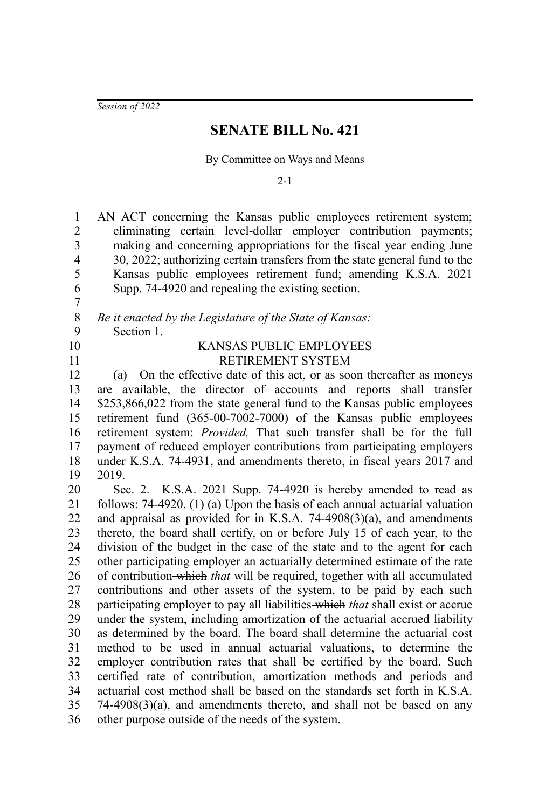*Session of 2022*

## **SENATE BILL No. 421**

By Committee on Ways and Means

 $2 - 1$ 

AN ACT concerning the Kansas public employees retirement system; eliminating certain level-dollar employer contribution payments; making and concerning appropriations for the fiscal year ending June 30, 2022; authorizing certain transfers from the state general fund to the Kansas public employees retirement fund; amending K.S.A. 2021 Supp. 74-4920 and repealing the existing section. 1 2 3 4 5 6

*Be it enacted by the Legislature of the State of Kansas:* Section 1. 8 9

- 
- 10 11

7

## KANSAS PUBLIC EMPLOYEES RETIREMENT SYSTEM

(a) On the effective date of this act, or as soon thereafter as moneys are available, the director of accounts and reports shall transfer \$253,866,022 from the state general fund to the Kansas public employees retirement fund (365-00-7002-7000) of the Kansas public employees retirement system: *Provided,* That such transfer shall be for the full payment of reduced employer contributions from participating employers under K.S.A. 74-4931, and amendments thereto, in fiscal years 2017 and 2019. 12 13 14 15 16 17 18 19

Sec. 2. K.S.A. 2021 Supp. 74-4920 is hereby amended to read as follows: 74-4920. (1) (a) Upon the basis of each annual actuarial valuation and appraisal as provided for in K.S.A. 74-4908(3)(a), and amendments thereto, the board shall certify, on or before July 15 of each year, to the division of the budget in the case of the state and to the agent for each other participating employer an actuarially determined estimate of the rate of contribution which *that* will be required, together with all accumulated contributions and other assets of the system, to be paid by each such participating employer to pay all liabilities which *that* shall exist or accrue under the system, including amortization of the actuarial accrued liability as determined by the board. The board shall determine the actuarial cost method to be used in annual actuarial valuations, to determine the employer contribution rates that shall be certified by the board. Such certified rate of contribution, amortization methods and periods and actuarial cost method shall be based on the standards set forth in K.S.A. 74-4908(3)(a), and amendments thereto, and shall not be based on any other purpose outside of the needs of the system. 20 21 22 23 24 25 26 27 28 29 30 31 32 33 34 35 36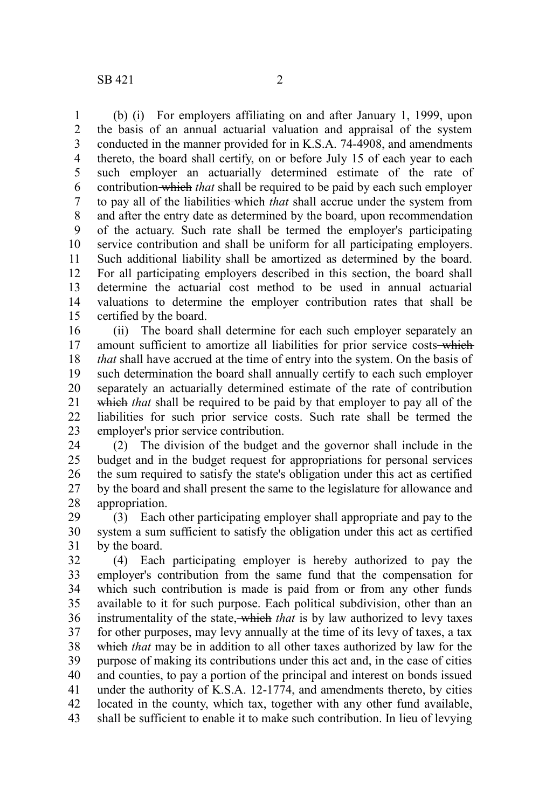(b) (i) For employers affiliating on and after January 1, 1999, upon the basis of an annual actuarial valuation and appraisal of the system conducted in the manner provided for in K.S.A. 74-4908, and amendments thereto, the board shall certify, on or before July 15 of each year to each such employer an actuarially determined estimate of the rate of contribution which *that* shall be required to be paid by each such employer to pay all of the liabilities which *that* shall accrue under the system from and after the entry date as determined by the board, upon recommendation of the actuary. Such rate shall be termed the employer's participating service contribution and shall be uniform for all participating employers. Such additional liability shall be amortized as determined by the board. For all participating employers described in this section, the board shall determine the actuarial cost method to be used in annual actuarial valuations to determine the employer contribution rates that shall be certified by the board. 1 2 3 4 5 6 7 8 9 10 11 12 13 14 15

(ii) The board shall determine for each such employer separately an amount sufficient to amortize all liabilities for prior service costs-which *that* shall have accrued at the time of entry into the system. On the basis of such determination the board shall annually certify to each such employer separately an actuarially determined estimate of the rate of contribution which *that* shall be required to be paid by that employer to pay all of the liabilities for such prior service costs. Such rate shall be termed the employer's prior service contribution. 16 17 18 19 20 21 22 23

(2) The division of the budget and the governor shall include in the budget and in the budget request for appropriations for personal services the sum required to satisfy the state's obligation under this act as certified by the board and shall present the same to the legislature for allowance and appropriation. 24 25 26 27 28

(3) Each other participating employer shall appropriate and pay to the system a sum sufficient to satisfy the obligation under this act as certified by the board. 29 30 31

(4) Each participating employer is hereby authorized to pay the employer's contribution from the same fund that the compensation for which such contribution is made is paid from or from any other funds available to it for such purpose. Each political subdivision, other than an instrumentality of the state, which *that* is by law authorized to levy taxes for other purposes, may levy annually at the time of its levy of taxes, a tax which *that* may be in addition to all other taxes authorized by law for the purpose of making its contributions under this act and, in the case of cities and counties, to pay a portion of the principal and interest on bonds issued under the authority of K.S.A. 12-1774, and amendments thereto, by cities located in the county, which tax, together with any other fund available, shall be sufficient to enable it to make such contribution. In lieu of levying 32 33 34 35 36 37 38 39 40 41 42 43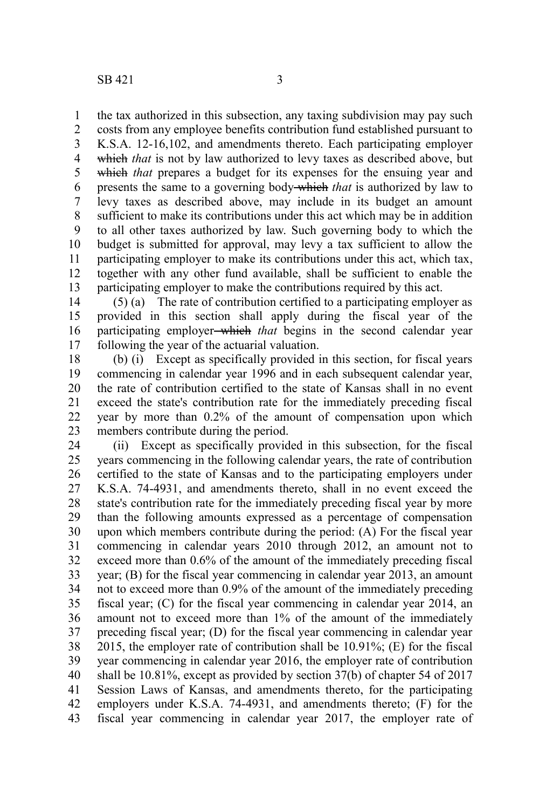the tax authorized in this subsection, any taxing subdivision may pay such 1

costs from any employee benefits contribution fund established pursuant to K.S.A. 12-16,102, and amendments thereto. Each participating employer which *that* is not by law authorized to levy taxes as described above, but which *that* prepares a budget for its expenses for the ensuing year and presents the same to a governing body which *that* is authorized by law to levy taxes as described above, may include in its budget an amount sufficient to make its contributions under this act which may be in addition to all other taxes authorized by law. Such governing body to which the budget is submitted for approval, may levy a tax sufficient to allow the participating employer to make its contributions under this act, which tax, together with any other fund available, shall be sufficient to enable the participating employer to make the contributions required by this act. 2 3 4 5 6 7 8 9 10 11 12 13

(5) (a) The rate of contribution certified to a participating employer as provided in this section shall apply during the fiscal year of the participating employer which *that* begins in the second calendar year following the year of the actuarial valuation. 14 15 16 17

(b) (i) Except as specifically provided in this section, for fiscal years commencing in calendar year 1996 and in each subsequent calendar year, the rate of contribution certified to the state of Kansas shall in no event exceed the state's contribution rate for the immediately preceding fiscal year by more than 0.2% of the amount of compensation upon which members contribute during the period. 18 19 20 21 22 23

(ii) Except as specifically provided in this subsection, for the fiscal years commencing in the following calendar years, the rate of contribution certified to the state of Kansas and to the participating employers under K.S.A. 74-4931, and amendments thereto, shall in no event exceed the state's contribution rate for the immediately preceding fiscal year by more than the following amounts expressed as a percentage of compensation upon which members contribute during the period: (A) For the fiscal year commencing in calendar years 2010 through 2012, an amount not to exceed more than 0.6% of the amount of the immediately preceding fiscal year; (B) for the fiscal year commencing in calendar year 2013, an amount not to exceed more than 0.9% of the amount of the immediately preceding fiscal year; (C) for the fiscal year commencing in calendar year 2014, an amount not to exceed more than 1% of the amount of the immediately preceding fiscal year; (D) for the fiscal year commencing in calendar year 2015, the employer rate of contribution shall be 10.91%; (E) for the fiscal year commencing in calendar year 2016, the employer rate of contribution shall be 10.81%, except as provided by section 37(b) of chapter 54 of 2017 Session Laws of Kansas, and amendments thereto, for the participating employers under K.S.A. 74-4931, and amendments thereto; (F) for the fiscal year commencing in calendar year 2017, the employer rate of 24 25 26 27 28 29 30 31 32 33 34 35 36 37 38 39 40 41 42 43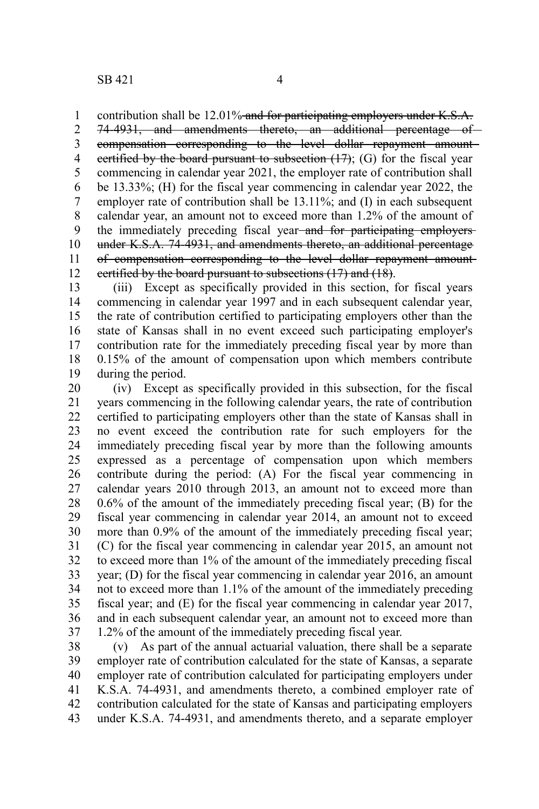contribution shall be 12.01% and for participating employers under K.S.A. 1

74-4931, and amendments thereto, an additional percentage of compensation corresponding to the level dollar repayment amount certified by the board pursuant to subsection  $(17)$ ; (G) for the fiscal year commencing in calendar year 2021, the employer rate of contribution shall be 13.33%; (H) for the fiscal year commencing in calendar year 2022, the employer rate of contribution shall be 13.11%; and (I) in each subsequent calendar year, an amount not to exceed more than 1.2% of the amount of the immediately preceding fiscal year-and for participating employersunder K.S.A. 74-4931, and amendments thereto, an additional percentage of compensation corresponding to the level dollar repayment amount certified by the board pursuant to subsections (17) and (18). 2 3 4 5 6 7 8 9 10 11 12

(iii) Except as specifically provided in this section, for fiscal years commencing in calendar year 1997 and in each subsequent calendar year, the rate of contribution certified to participating employers other than the state of Kansas shall in no event exceed such participating employer's contribution rate for the immediately preceding fiscal year by more than 0.15% of the amount of compensation upon which members contribute during the period. 13 14 15 16 17 18 19

(iv) Except as specifically provided in this subsection, for the fiscal years commencing in the following calendar years, the rate of contribution certified to participating employers other than the state of Kansas shall in no event exceed the contribution rate for such employers for the immediately preceding fiscal year by more than the following amounts expressed as a percentage of compensation upon which members contribute during the period: (A) For the fiscal year commencing in calendar years 2010 through 2013, an amount not to exceed more than 0.6% of the amount of the immediately preceding fiscal year; (B) for the fiscal year commencing in calendar year 2014, an amount not to exceed more than 0.9% of the amount of the immediately preceding fiscal year; (C) for the fiscal year commencing in calendar year 2015, an amount not to exceed more than 1% of the amount of the immediately preceding fiscal year; (D) for the fiscal year commencing in calendar year 2016, an amount not to exceed more than 1.1% of the amount of the immediately preceding fiscal year; and (E) for the fiscal year commencing in calendar year 2017, and in each subsequent calendar year, an amount not to exceed more than 1.2% of the amount of the immediately preceding fiscal year. 20 21 22 23 24 25 26 27 28 29 30 31 32 33 34 35 36 37

(v) As part of the annual actuarial valuation, there shall be a separate employer rate of contribution calculated for the state of Kansas, a separate employer rate of contribution calculated for participating employers under K.S.A. 74-4931, and amendments thereto, a combined employer rate of contribution calculated for the state of Kansas and participating employers under K.S.A. 74-4931, and amendments thereto, and a separate employer 38 39 40 41 42 43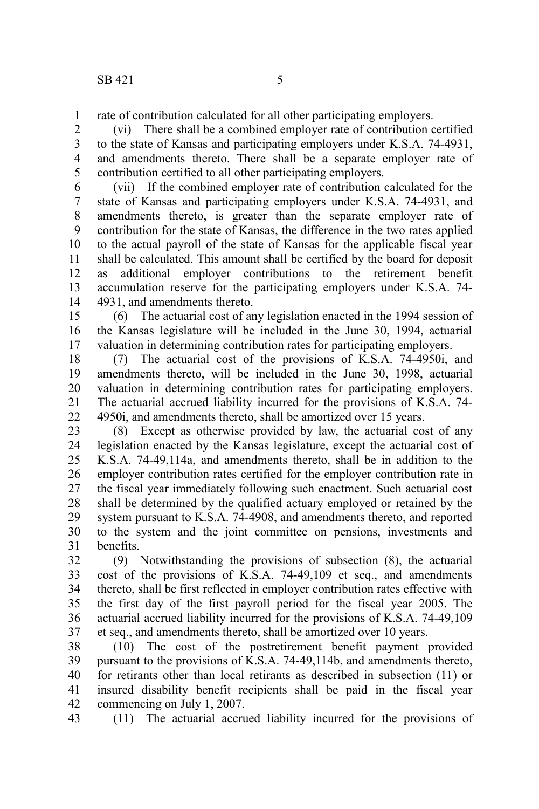rate of contribution calculated for all other participating employers. 1

(vi) There shall be a combined employer rate of contribution certified to the state of Kansas and participating employers under K.S.A. 74-4931, and amendments thereto. There shall be a separate employer rate of contribution certified to all other participating employers. 2 3 4 5

(vii) If the combined employer rate of contribution calculated for the state of Kansas and participating employers under K.S.A. 74-4931, and amendments thereto, is greater than the separate employer rate of contribution for the state of Kansas, the difference in the two rates applied to the actual payroll of the state of Kansas for the applicable fiscal year shall be calculated. This amount shall be certified by the board for deposit as additional employer contributions to the retirement benefit accumulation reserve for the participating employers under K.S.A. 74- 4931, and amendments thereto. 6 7 8 9 10 11 12 13 14

(6) The actuarial cost of any legislation enacted in the 1994 session of the Kansas legislature will be included in the June 30, 1994, actuarial valuation in determining contribution rates for participating employers. 15 16 17

(7) The actuarial cost of the provisions of K.S.A. 74-4950i, and amendments thereto, will be included in the June 30, 1998, actuarial valuation in determining contribution rates for participating employers. The actuarial accrued liability incurred for the provisions of K.S.A. 74- 4950i, and amendments thereto, shall be amortized over 15 years. 18 19 20 21 22

(8) Except as otherwise provided by law, the actuarial cost of any legislation enacted by the Kansas legislature, except the actuarial cost of K.S.A. 74-49,114a, and amendments thereto, shall be in addition to the employer contribution rates certified for the employer contribution rate in the fiscal year immediately following such enactment. Such actuarial cost shall be determined by the qualified actuary employed or retained by the system pursuant to K.S.A. 74-4908, and amendments thereto, and reported to the system and the joint committee on pensions, investments and benefits. 23 24 25 26 27 28 29 30 31

(9) Notwithstanding the provisions of subsection (8), the actuarial cost of the provisions of K.S.A. 74-49,109 et seq., and amendments thereto, shall be first reflected in employer contribution rates effective with the first day of the first payroll period for the fiscal year 2005. The actuarial accrued liability incurred for the provisions of K.S.A. 74-49,109 et seq., and amendments thereto, shall be amortized over 10 years. 32 33 34 35 36 37

(10) The cost of the postretirement benefit payment provided pursuant to the provisions of K.S.A. 74-49,114b, and amendments thereto, for retirants other than local retirants as described in subsection (11) or insured disability benefit recipients shall be paid in the fiscal year commencing on July 1, 2007. 38 39 40 41 42

(11) The actuarial accrued liability incurred for the provisions of 43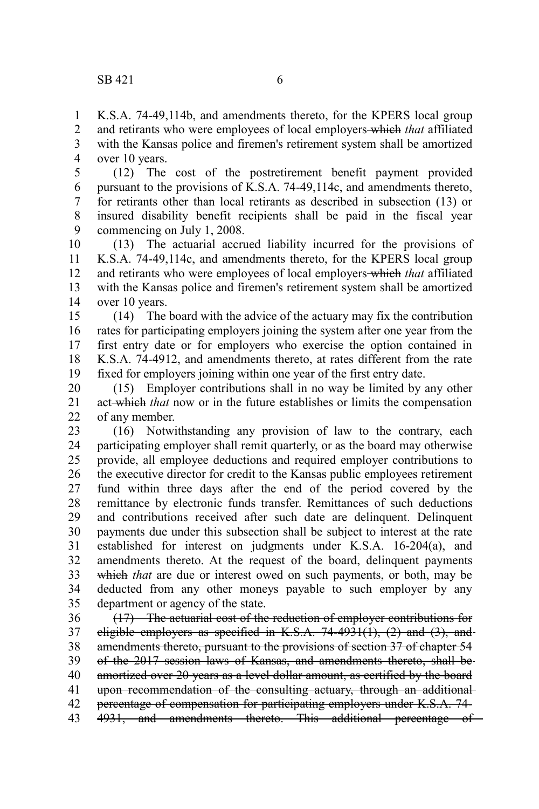K.S.A. 74-49,114b, and amendments thereto, for the KPERS local group and retirants who were employees of local employers which *that* affiliated with the Kansas police and firemen's retirement system shall be amortized over 10 years. 1 2 3 4

(12) The cost of the postretirement benefit payment provided pursuant to the provisions of K.S.A. 74-49,114c, and amendments thereto, for retirants other than local retirants as described in subsection (13) or insured disability benefit recipients shall be paid in the fiscal year commencing on July 1, 2008. 5 6 7 8 9

(13) The actuarial accrued liability incurred for the provisions of K.S.A. 74-49,114c, and amendments thereto, for the KPERS local group and retirants who were employees of local employers which *that* affiliated with the Kansas police and firemen's retirement system shall be amortized over 10 years. 10 11 12 13 14

(14) The board with the advice of the actuary may fix the contribution rates for participating employers joining the system after one year from the first entry date or for employers who exercise the option contained in K.S.A. 74-4912, and amendments thereto, at rates different from the rate fixed for employers joining within one year of the first entry date. 15 16 17 18 19

(15) Employer contributions shall in no way be limited by any other act which *that* now or in the future establishes or limits the compensation of any member. 20 21 22

(16) Notwithstanding any provision of law to the contrary, each participating employer shall remit quarterly, or as the board may otherwise provide, all employee deductions and required employer contributions to the executive director for credit to the Kansas public employees retirement fund within three days after the end of the period covered by the remittance by electronic funds transfer. Remittances of such deductions and contributions received after such date are delinquent. Delinquent payments due under this subsection shall be subject to interest at the rate established for interest on judgments under K.S.A. 16-204(a), and amendments thereto. At the request of the board, delinquent payments which *that* are due or interest owed on such payments, or both, may be deducted from any other moneys payable to such employer by any department or agency of the state. 23 24 25 26 27 28 29 30 31 32 33 34 35

(17) The actuarial cost of the reduction of employer contributions for eligible employers as specified in K.S.A.  $74-4931(1)$ ,  $(2)$  and  $(3)$ , and amendments thereto, pursuant to the provisions of section 37 of chapter 54 of the 2017 session laws of Kansas, and amendments thereto, shall be amortized over 20 years as a level dollar amount, as certified by the board upon recommendation of the consulting actuary, through an additional percentage of compensation for participating employers under K.S.A. 74- 4931, and amendments thereto. This additional percentage of 36 37 38 39 40 41 42 43